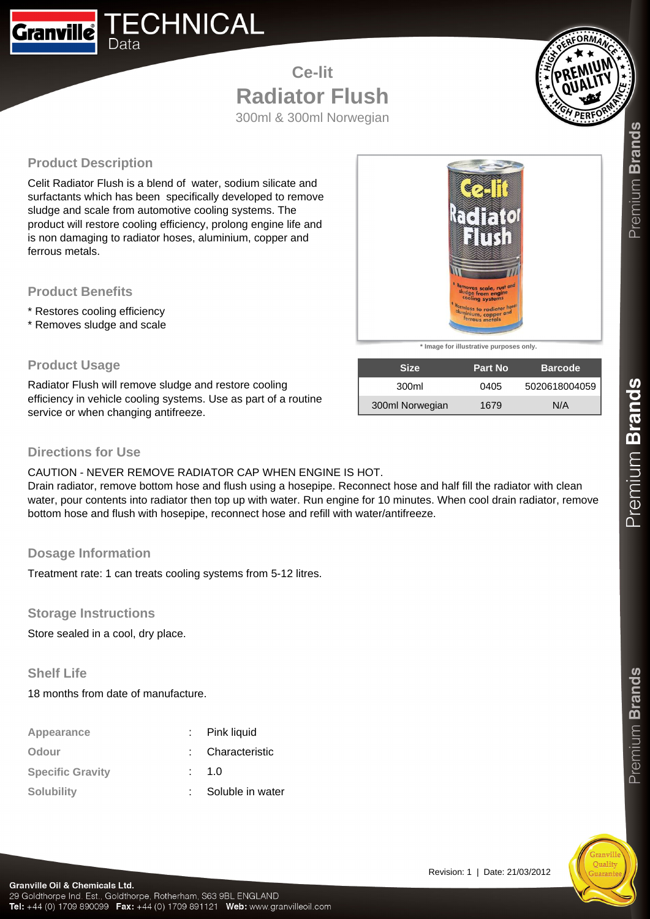

**Ce-lit Radiator Flush** 300ml & 300ml Norwegian



# **Product Description**

Celit Radiator Flush is a blend of water, sodium silicate and surfactants which has been specifically developed to remove sludge and scale from automotive cooling systems. The product will restore cooling efficiency, prolong engine life and is non damaging to radiator hoses, aluminium, copper and ferrous metals.

## **Product Benefits**

- \* Restores cooling efficiency
- \* Removes sludge and scale

#### **Product Usage**

Radiator Flush will remove sludge and restore cooling efficiency in vehicle cooling systems. Use as part of a routine service or when changing antifreeze.



**\* Image for illustrative purposes only.**

| <b>Size</b>     | <b>Part No.</b> | <b>Barcode</b> |
|-----------------|-----------------|----------------|
| 300ml           | 0405            | 5020618004059  |
| 300ml Norwegian | 1679            | N/A            |

## **Directions for Use**

#### CAUTION - NEVER REMOVE RADIATOR CAP WHEN ENGINE IS HOT.

Drain radiator, remove bottom hose and flush using a hosepipe. Reconnect hose and half fill the radiator with clean water, pour contents into radiator then top up with water. Run engine for 10 minutes. When cool drain radiator, remove bottom hose and flush with hosepipe, reconnect hose and refill with water/antifreeze.

## **Dosage Information**

Treatment rate: 1 can treats cooling systems from 5-12 litres.

**Storage Instructions**

Store sealed in a cool, dry place.

#### **Shelf Life**

18 months from date of manufacture.

| Appearance              | Pink liquid      |
|-------------------------|------------------|
| Odour                   | : Characteristic |
| <b>Specific Gravity</b> | $\therefore$ 1.0 |
| <b>Solubility</b>       | Soluble in water |